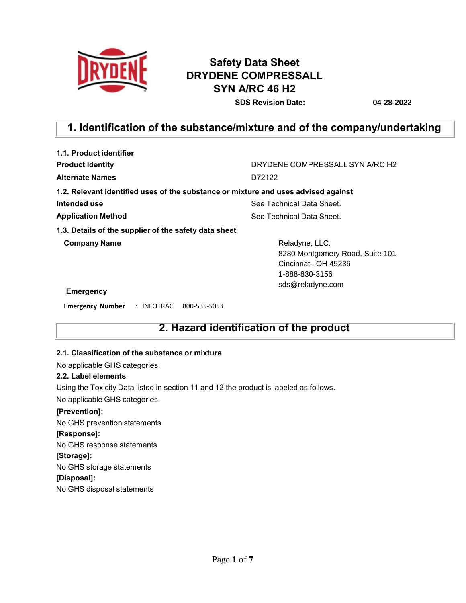

# **Safety Data Sheet DRYDENE COMPRESSALL SYN A/RC 46 H2**

**SDS Revision Date: 04-28-2022**

## **1. Identification of the substance/mixture and of the company/undertaking**

| 1.1. Product identifier                                                            |                                                                                             |
|------------------------------------------------------------------------------------|---------------------------------------------------------------------------------------------|
| <b>Product Identity</b>                                                            | DRYDENE COMPRESSALL SYN A/RC H2                                                             |
| <b>Alternate Names</b>                                                             | D72122                                                                                      |
| 1.2. Relevant identified uses of the substance or mixture and uses advised against |                                                                                             |
| Intended use                                                                       | See Technical Data Sheet.                                                                   |
| <b>Application Method</b>                                                          | See Technical Data Sheet.                                                                   |
| 1.3. Details of the supplier of the safety data sheet                              |                                                                                             |
| <b>Company Name</b>                                                                | Reladyne, LLC.<br>8280 Montgomery Road, Suite 101<br>Cincinnati, OH 45236<br>1-888-830-3156 |
| Emergency                                                                          | sds@reladyne.com                                                                            |

**Emergency Number** : INFOTRAC 800-535-5053

## **2. Hazard identification of the product**

### **2.1. Classification of the substance or mixture**

No applicable GHS categories.

### **2.2. Label elements**

Using the Toxicity Data listed in section 11 and 12 the product is labeled as follows.

No applicable GHS categories.

### **[Prevention]:**

No GHS prevention statements **[Response]:** No GHS response statements **[Storage]:** No GHS storage statements **[Disposal]:** No GHS disposal statements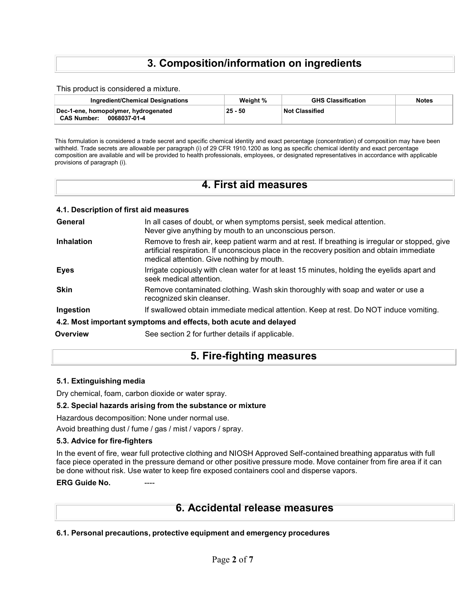## **3. Composition/information on ingredients**

This product is considered a mixture.

| Ingredient/Chemical Designations                                           | Weight %  | <b>GHS Classification</b> | <b>Notes</b> |
|----------------------------------------------------------------------------|-----------|---------------------------|--------------|
| Dec-1-ene, homopolymer, hydrogenated<br><b>CAS Number:</b><br>0068037-01-4 | $25 - 50$ | <b>∣Not Classified</b>    |              |

This formulation is considered a trade secret and specific chemical identity and exact percentage (concentration) of composition may have been withheld. Trade secrets are allowable per paragraph (i) of 29 CFR 1910.1200 as long as specific chemical identity and exact percentage composition are available and will be provided to health professionals, employees, or designated representatives in accordance with applicable provisions of paragraph (i).

|  |  | 4. First aid measures |  |
|--|--|-----------------------|--|
|--|--|-----------------------|--|

| 4.1. Description of first aid measures |                                                                                                                                                                                                                                           |
|----------------------------------------|-------------------------------------------------------------------------------------------------------------------------------------------------------------------------------------------------------------------------------------------|
| General                                | In all cases of doubt, or when symptoms persist, seek medical attention.<br>Never give anything by mouth to an unconscious person.                                                                                                        |
| <b>Inhalation</b>                      | Remove to fresh air, keep patient warm and at rest. If breathing is irregular or stopped, give<br>artificial respiration. If unconscious place in the recovery position and obtain immediate<br>medical attention. Give nothing by mouth. |
| Eyes                                   | Irrigate copiously with clean water for at least 15 minutes, holding the eyelids apart and<br>seek medical attention.                                                                                                                     |
| <b>Skin</b>                            | Remove contaminated clothing. Wash skin thoroughly with soap and water or use a<br>recognized skin cleanser.                                                                                                                              |
| Ingestion                              | If swallowed obtain immediate medical attention. Keep at rest. Do NOT induce vomiting.                                                                                                                                                    |
|                                        | 4.2. Most important symptoms and effects, both acute and delayed                                                                                                                                                                          |
| Overview                               | See section 2 for further details if applicable.                                                                                                                                                                                          |

### **5. Fire-fighting measures**

### **5.1. Extinguishing media**

Dry chemical, foam, carbon dioxide or water spray.

### **5.2. Special hazards arising from the substance or mixture**

Hazardous decomposition: None under normal use.

Avoid breathing dust / fume / gas / mist / vapors / spray.

#### **5.3. Advice for fire-fighters**

In the event of fire, wear full protective clothing and NIOSH Approved Self-contained breathing apparatus with full face piece operated in the pressure demand or other positive pressure mode. Move container from fire area if it can be done without risk. Use water to keep fire exposed containers cool and disperse vapors.

#### **ERG** Guide No.

### **6. Accidental release measures**

**6.1. Personal precautions, protective equipment and emergency procedures**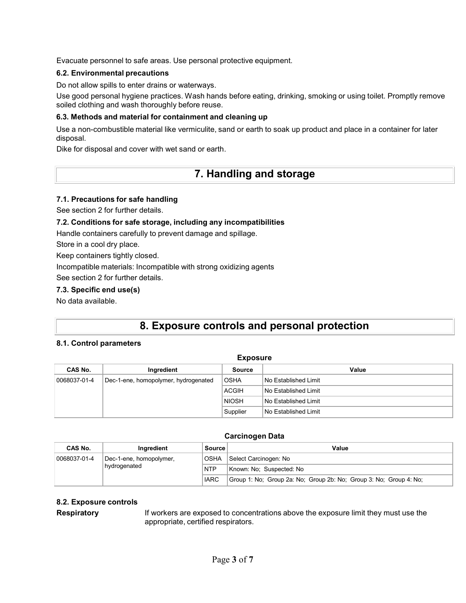Evacuate personnel to safe areas. Use personal protective equipment.

### **6.2. Environmental precautions**

Do not allow spills to enter drains or waterways.

Use good personal hygiene practices. Wash hands before eating, drinking, smoking or using toilet. Promptly remove soiled clothing and wash thoroughly before reuse.

### **6.3. Methods and material for containment and cleaning up**

Use a non-combustible material like vermiculite, sand or earth to soak up product and place in a container for later disposal.

Dike for disposal and cover with wet sand or earth.

### **7. Handling and storage**

### **7.1. Precautions for safe handling**

See section 2 for further details.

### **7.2. Conditions for safe storage, including any incompatibilities**

Handle containers carefully to prevent damage and spillage.

Store in a cool dry place.

Keep containers tightly closed.

Incompatible materials: Incompatible with strong oxidizing agents

See section 2 for further details.

### **7.3. Specific end use(s)**

No data available.

### **8. Exposure controls and personal protection**

### **8.1. Control parameters**

| <b>Exposure</b> |                                      |              |                        |  |  |
|-----------------|--------------------------------------|--------------|------------------------|--|--|
| CAS No.         | Ingredient                           | Source       | Value                  |  |  |
| 0068037-01-4    | Dec-1-ene, homopolymer, hydrogenated | <b>OSHA</b>  | No Established Limit   |  |  |
|                 |                                      | <b>ACGIH</b> | No Established Limit   |  |  |
|                 |                                      | <b>NIOSH</b> | No Established Limit   |  |  |
|                 |                                      | Supplier     | l No Established Limit |  |  |

### **Carcinogen Data**

| CAS No.      | Ingredient              | <b>Source</b> | Value                                                              |
|--------------|-------------------------|---------------|--------------------------------------------------------------------|
| 0068037-01-4 | Dec-1-ene, homopolymer, | OSHA          | Select Carcinogen: No                                              |
|              | hydrogenated            | NTP           | Known: No: Suspected: No                                           |
|              |                         | <b>IARC</b>   | Group 1: No; Group 2a: No; Group 2b: No; Group 3: No; Group 4: No; |

### **8.2. Exposure controls**

**Respiratory** If workers are exposed to concentrations above the exposure limit they must use the appropriate, certified respirators.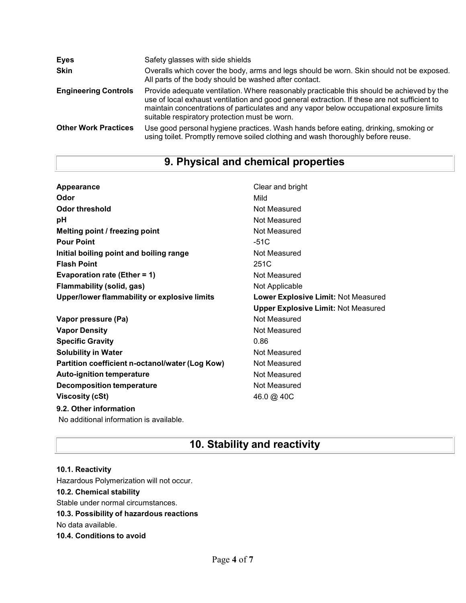| <b>Eyes</b>                 | Safety glasses with side shields                                                                                                                                                                                                                                                                                                       |
|-----------------------------|----------------------------------------------------------------------------------------------------------------------------------------------------------------------------------------------------------------------------------------------------------------------------------------------------------------------------------------|
| <b>Skin</b>                 | Overalls which cover the body, arms and legs should be worn. Skin should not be exposed.<br>All parts of the body should be washed after contact.                                                                                                                                                                                      |
| <b>Engineering Controls</b> | Provide adequate ventilation. Where reasonably practicable this should be achieved by the<br>use of local exhaust ventilation and good general extraction. If these are not sufficient to<br>maintain concentrations of particulates and any vapor below occupational exposure limits<br>suitable respiratory protection must be worn. |
| <b>Other Work Practices</b> | Use good personal hygiene practices. Wash hands before eating, drinking, smoking or<br>using toilet. Promptly remove soiled clothing and wash thoroughly before reuse.                                                                                                                                                                 |

# **9. Physical and chemical properties**

| Appearance                                      | Clear and bright                           |
|-------------------------------------------------|--------------------------------------------|
| Odor                                            | Mild                                       |
| <b>Odor threshold</b>                           | Not Measured                               |
| pH                                              | Not Measured                               |
| Melting point / freezing point                  | Not Measured                               |
| <b>Pour Point</b>                               | $-51C$                                     |
| Initial boiling point and boiling range         | Not Measured                               |
| <b>Flash Point</b>                              | 251C                                       |
| Evaporation rate (Ether = 1)                    | Not Measured                               |
| Flammability (solid, gas)                       | Not Applicable                             |
| Upper/lower flammability or explosive limits    | <b>Lower Explosive Limit: Not Measured</b> |
|                                                 | <b>Upper Explosive Limit: Not Measured</b> |
| Vapor pressure (Pa)                             | Not Measured                               |
| <b>Vapor Density</b>                            | Not Measured                               |
| <b>Specific Gravity</b>                         | 0.86                                       |
| <b>Solubility in Water</b>                      | Not Measured                               |
| Partition coefficient n-octanol/water (Log Kow) | Not Measured                               |
| <b>Auto-ignition temperature</b>                | Not Measured                               |
| <b>Decomposition temperature</b>                | Not Measured                               |
|                                                 |                                            |
| <b>Viscosity (cSt)</b>                          | 46.0 @ 40C                                 |

No additional information is available.

# **10. Stability and reactivity**

### **10.1. Reactivity** Hazardous Polymerization will not occur. **10.2. Chemical stability** Stable under normal circumstances. **10.3. Possibility of hazardous reactions** No data available. **10.4. Conditions to avoid**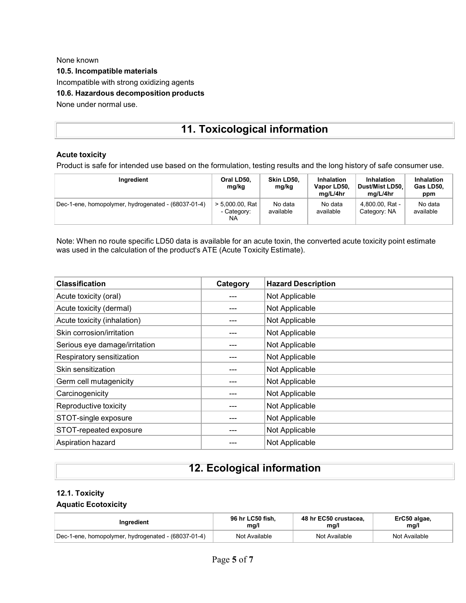None known **10.5. Incompatible materials** Incompatible with strong oxidizing agents **10.6. Hazardous decomposition products** None under normal use.

# **11. Toxicological information**

### **Acute toxicity**

Product is safe for intended use based on the formulation, testing results and the long history of safe consumer use.

| Ingredient                                          | Oral LD50,<br>mg/kg                     | Skin LD50,<br>mg/kg  | <b>Inhalation</b><br>Vapor LD50,<br>ma/L/4hr | <b>Inhalation</b><br>Dust/Mist LD50.<br>ma/L/4hr | Inhalation<br>Gas LD50.<br>ppm |
|-----------------------------------------------------|-----------------------------------------|----------------------|----------------------------------------------|--------------------------------------------------|--------------------------------|
| Dec-1-ene, homopolymer, hydrogenated - (68037-01-4) | $> 5,000.00$ , Rat<br>- Category:<br>NA | No data<br>available | No data<br>available                         | 4,800.00, Rat -<br>Category: NA                  | No data<br>available           |

Note: When no route specific LD50 data is available for an acute toxin, the converted acute toxicity point estimate was used in the calculation of the product's ATE (Acute Toxicity Estimate).

| <b>Classification</b>         | Category | <b>Hazard Description</b> |
|-------------------------------|----------|---------------------------|
| Acute toxicity (oral)         |          | Not Applicable            |
| Acute toxicity (dermal)       |          | Not Applicable            |
| Acute toxicity (inhalation)   |          | Not Applicable            |
| Skin corrosion/irritation     |          | Not Applicable            |
| Serious eye damage/irritation |          | Not Applicable            |
| Respiratory sensitization     |          | Not Applicable            |
| Skin sensitization            |          | Not Applicable            |
| Germ cell mutagenicity        |          | Not Applicable            |
| Carcinogenicity               |          | Not Applicable            |
| Reproductive toxicity         |          | Not Applicable            |
| STOT-single exposure          |          | Not Applicable            |
| STOT-repeated exposure        |          | Not Applicable            |
| Aspiration hazard             |          | Not Applicable            |

# **12. Ecological information**

### **12.1. Toxicity**

### **Aquatic Ecotoxicity**

| Ingredient                                          | 96 hr LC50 fish. | 48 hr EC50 crustacea. | ErC50 algae,  |
|-----------------------------------------------------|------------------|-----------------------|---------------|
|                                                     | mq/l             | mq/l                  | mq/l          |
| Dec-1-ene, homopolymer, hydrogenated - (68037-01-4) | Not Available    | Not Available         | Not Available |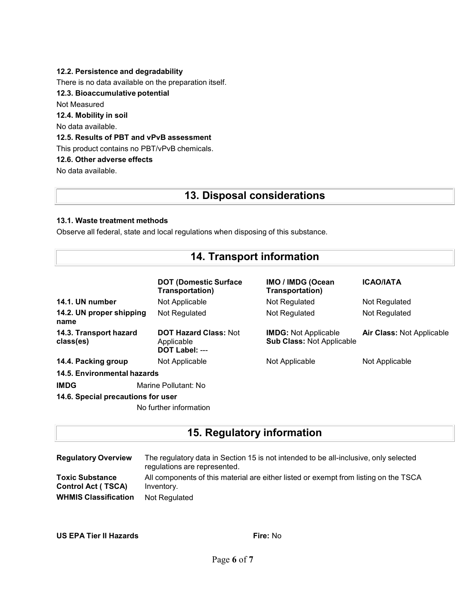### **12.2. Persistence and degradability**

There is no data available on the preparation itself.

**12.3. Bioaccumulative potential**

Not Measured

**12.4. Mobility in soil**

No data available.

### **12.5. Results of PBT and vPvB assessment**

This product contains no PBT/vPvB chemicals.

**12.6. Other adverse effects**

No data available.

## **13. Disposal considerations**

### **13.1. Waste treatment methods**

Observe all federal, state and local regulations when disposing of this substance.

|  |  |  | <b>14. Transport information</b> |
|--|--|--|----------------------------------|
|--|--|--|----------------------------------|

|                                     | <b>DOT (Domestic Surface)</b><br>Transportation)             | <b>IMO / IMDG (Ocean</b><br>Transportation)                     | <b>ICAO/IATA</b>                 |  |
|-------------------------------------|--------------------------------------------------------------|-----------------------------------------------------------------|----------------------------------|--|
| 14.1. UN number                     | Not Applicable                                               | Not Regulated                                                   | Not Regulated                    |  |
| 14.2. UN proper shipping<br>name    | Not Regulated                                                | Not Regulated                                                   | Not Regulated                    |  |
| 14.3. Transport hazard<br>class(es) | <b>DOT Hazard Class: Not</b><br>Applicable<br>DOT Label: --- | <b>IMDG:</b> Not Applicable<br><b>Sub Class: Not Applicable</b> | <b>Air Class: Not Applicable</b> |  |
| 14.4. Packing group                 | Not Applicable                                               | Not Applicable                                                  | Not Applicable                   |  |
| 14.5. Environmental hazards         |                                                              |                                                                 |                                  |  |
| <b>IMDG</b><br>Marine Pollutant: No |                                                              |                                                                 |                                  |  |
| 14.6. Special precautions for user  |                                                              |                                                                 |                                  |  |
|                                     | No further information                                       |                                                                 |                                  |  |

## **15. Regulatory information**

| <b>Regulatory Overview</b>  | The regulatory data in Section 15 is not intended to be all-inclusive, only selected<br>regulations are represented. |
|-----------------------------|----------------------------------------------------------------------------------------------------------------------|
| <b>Toxic Substance</b>      | All components of this material are either listed or exempt from listing on the TSCA                                 |
| <b>Control Act (TSCA)</b>   | Inventory.                                                                                                           |
| <b>WHMIS Classification</b> | Not Regulated                                                                                                        |